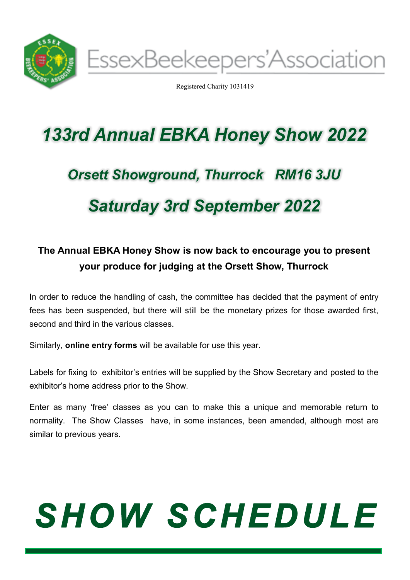

Registered Charity 1031419

# *133rd Annual EBKA Honey Show 2022*

# *Orsett Showground, Thurrock RM16 3JU Saturday 3rd September 2022*

# **The Annual EBKA Honey Show is now back to encourage you to present your produce for judging at the Orsett Show, Thurrock**

In order to reduce the handling of cash, the committee has decided that the payment of entry fees has been suspended, but there will still be the monetary prizes for those awarded first, second and third in the various classes.

Similarly, **online entry forms** will be available for use this year.

Labels for fixing to exhibitor's entries will be supplied by the Show Secretary and posted to the exhibitor's home address prior to the Show.

Enter as many 'free' classes as you can to make this a unique and memorable return to normality. The Show Classes have, in some instances, been amended, although most are similar to previous years.

# **SHOW SCHEDULE**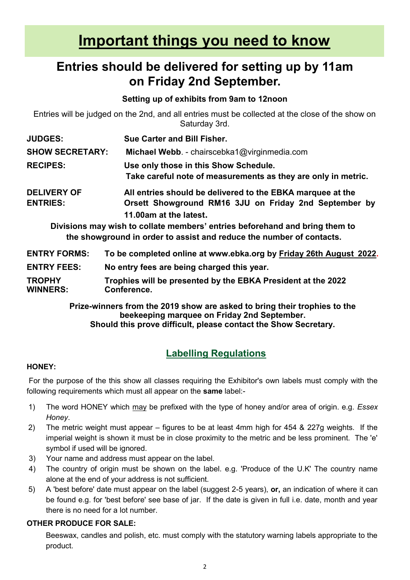# **Important things you need to know**

# **Entries should be delivered for setting up by 11am on Friday 2nd September.**

## **Setting up of exhibits from 9am to 12noon**

Entries will be judged on the 2nd, and all entries must be collected at the close of the show on Saturday 3rd.

| <b>JUDGES:</b>                        | Sue Carter and Bill Fisher.                                                                                         |  |
|---------------------------------------|---------------------------------------------------------------------------------------------------------------------|--|
| <b>SHOW SECRETARY:</b>                | Michael Webb. - chairscebka1@virginmedia.com                                                                        |  |
| <b>RECIPES:</b>                       | Use only those in this Show Schedule.<br>Take careful note of measurements as they are only in metric.              |  |
| <b>DELIVERY OF</b><br><b>ENTRIES:</b> | All entries should be delivered to the EBKA marquee at the<br>Orsett Showground RM16 3JU on Friday 2nd September by |  |
|                                       | 11.00am at the latest.                                                                                              |  |
|                                       | Divisions may wish to collate members' entries beforehand and bring them to                                         |  |
|                                       | the showground in order to assist and reduce the number of contacts.                                                |  |

| <b>ENTRY FORMS:</b>              | To be completed online at www.ebka.org by Friday 26th August 2022.          |
|----------------------------------|-----------------------------------------------------------------------------|
| <b>ENTRY FEES:</b>               | No entry fees are being charged this year.                                  |
| <b>TROPHY</b><br><b>WINNERS:</b> | Trophies will be presented by the EBKA President at the 2022<br>Conference. |

#### **Prize-winners from the 2019 show are asked to bring their trophies to the beekeeping marquee on Friday 2nd September. Should this prove difficult, please contact the Show Secretary.**

# **Labelling Regulations**

### **HONEY:**

For the purpose of the this show all classes requiring the Exhibitor's own labels must comply with the following requirements which must all appear on the **same** label:-

- 1) The word HONEY which may be prefixed with the type of honey and/or area of origin. e.g. *Essex Honey*.
- 2) The metric weight must appear figures to be at least 4mm high for 454 & 227g weights. If the imperial weight is shown it must be in close proximity to the metric and be less prominent. The 'e' symbol if used will be ignored.
- 3) Your name and address must appear on the label.
- 4) The country of origin must be shown on the label. e.g. 'Produce of the U.K' The country name alone at the end of your address is not sufficient.
- 5) A 'best before' date must appear on the label (suggest 2-5 years), **or,** an indication of where it can be found e.g. for 'best before' see base of jar. If the date is given in full i.e. date, month and year there is no need for a lot number.

### **OTHER PRODUCE FOR SALE:**

Beeswax, candles and polish, etc. must comply with the statutory warning labels appropriate to the product.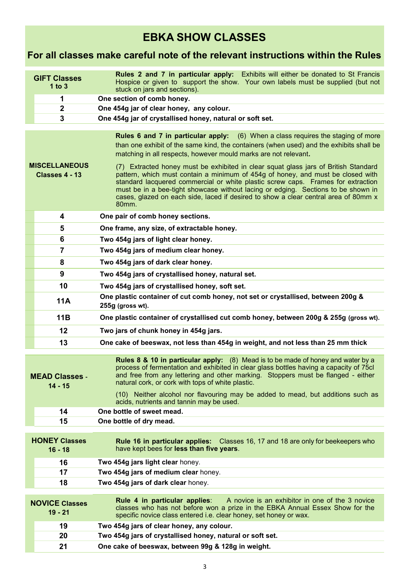# **EBKA SHOW CLASSES**

# **For all classes make careful note of the relevant instructions within the Rules**

|                                                                                         | <b>GIFT Classes</b><br>1 to $3$                                                                                                                                                                                                                                                                                                                                                                                                                                                                                                                                                                                                                                                                                                                    | <b>Rules 2 and 7 in particular apply:</b> Exhibits will either be donated to St Francis<br>Hospice or given to support the show. Your own labels must be supplied (but not<br>stuck on jars and sections).                                                                                                                                                                                    |  |  |  |
|-----------------------------------------------------------------------------------------|----------------------------------------------------------------------------------------------------------------------------------------------------------------------------------------------------------------------------------------------------------------------------------------------------------------------------------------------------------------------------------------------------------------------------------------------------------------------------------------------------------------------------------------------------------------------------------------------------------------------------------------------------------------------------------------------------------------------------------------------------|-----------------------------------------------------------------------------------------------------------------------------------------------------------------------------------------------------------------------------------------------------------------------------------------------------------------------------------------------------------------------------------------------|--|--|--|
| One section of comb honey.<br>1                                                         |                                                                                                                                                                                                                                                                                                                                                                                                                                                                                                                                                                                                                                                                                                                                                    |                                                                                                                                                                                                                                                                                                                                                                                               |  |  |  |
|                                                                                         | $\mathbf 2$                                                                                                                                                                                                                                                                                                                                                                                                                                                                                                                                                                                                                                                                                                                                        | One 454g jar of clear honey, any colour.                                                                                                                                                                                                                                                                                                                                                      |  |  |  |
|                                                                                         | 3                                                                                                                                                                                                                                                                                                                                                                                                                                                                                                                                                                                                                                                                                                                                                  | One 454g jar of crystallised honey, natural or soft set.                                                                                                                                                                                                                                                                                                                                      |  |  |  |
|                                                                                         |                                                                                                                                                                                                                                                                                                                                                                                                                                                                                                                                                                                                                                                                                                                                                    |                                                                                                                                                                                                                                                                                                                                                                                               |  |  |  |
|                                                                                         | <b>Rules 6 and 7 in particular apply:</b> (6) When a class requires the staging of more<br>than one exhibit of the same kind, the containers (when used) and the exhibits shall be<br>matching in all respects, however mould marks are not relevant.<br><b>MISCELLANEOUS</b><br>(7) Extracted honey must be exhibited in clear squat glass jars of British Standard<br>pattern, which must contain a minimum of 454g of honey, and must be closed with<br>Classes 4 - 13<br>standard lacquered commercial or white plastic screw caps. Frames for extraction<br>must be in a bee-tight showcase without lacing or edging. Sections to be shown in<br>cases, glazed on each side, laced if desired to show a clear central area of 80mm x<br>80mm. |                                                                                                                                                                                                                                                                                                                                                                                               |  |  |  |
|                                                                                         | 4                                                                                                                                                                                                                                                                                                                                                                                                                                                                                                                                                                                                                                                                                                                                                  | One pair of comb honey sections.                                                                                                                                                                                                                                                                                                                                                              |  |  |  |
|                                                                                         | 5                                                                                                                                                                                                                                                                                                                                                                                                                                                                                                                                                                                                                                                                                                                                                  | One frame, any size, of extractable honey.                                                                                                                                                                                                                                                                                                                                                    |  |  |  |
|                                                                                         | 6                                                                                                                                                                                                                                                                                                                                                                                                                                                                                                                                                                                                                                                                                                                                                  | Two 454g jars of light clear honey.                                                                                                                                                                                                                                                                                                                                                           |  |  |  |
|                                                                                         | $\overline{7}$                                                                                                                                                                                                                                                                                                                                                                                                                                                                                                                                                                                                                                                                                                                                     | Two 454g jars of medium clear honey.                                                                                                                                                                                                                                                                                                                                                          |  |  |  |
|                                                                                         | 8                                                                                                                                                                                                                                                                                                                                                                                                                                                                                                                                                                                                                                                                                                                                                  | Two 454g jars of dark clear honey.                                                                                                                                                                                                                                                                                                                                                            |  |  |  |
|                                                                                         | 9                                                                                                                                                                                                                                                                                                                                                                                                                                                                                                                                                                                                                                                                                                                                                  | Two 454g jars of crystallised honey, natural set.                                                                                                                                                                                                                                                                                                                                             |  |  |  |
|                                                                                         | 10                                                                                                                                                                                                                                                                                                                                                                                                                                                                                                                                                                                                                                                                                                                                                 | Two 454g jars of crystallised honey, soft set.                                                                                                                                                                                                                                                                                                                                                |  |  |  |
|                                                                                         | <b>11A</b>                                                                                                                                                                                                                                                                                                                                                                                                                                                                                                                                                                                                                                                                                                                                         | One plastic container of cut comb honey, not set or crystallised, between 200g &<br>255g (gross wt).                                                                                                                                                                                                                                                                                          |  |  |  |
|                                                                                         | 11B                                                                                                                                                                                                                                                                                                                                                                                                                                                                                                                                                                                                                                                                                                                                                | One plastic container of crystallised cut comb honey, between 200g & 255g (gross wt).                                                                                                                                                                                                                                                                                                         |  |  |  |
|                                                                                         | 12                                                                                                                                                                                                                                                                                                                                                                                                                                                                                                                                                                                                                                                                                                                                                 | Two jars of chunk honey in 454g jars.                                                                                                                                                                                                                                                                                                                                                         |  |  |  |
|                                                                                         | 13                                                                                                                                                                                                                                                                                                                                                                                                                                                                                                                                                                                                                                                                                                                                                 | One cake of beeswax, not less than 454g in weight, and not less than 25 mm thick                                                                                                                                                                                                                                                                                                              |  |  |  |
| <b>MEAD Classes -</b><br>natural cork, or cork with tops of white plastic.<br>$14 - 15$ |                                                                                                                                                                                                                                                                                                                                                                                                                                                                                                                                                                                                                                                                                                                                                    | Rules 8 & 10 in particular apply: (8) Mead is to be made of honey and water by a<br>process of fermentation and exhibited in clear glass bottles having a capacity of 75cl<br>and free from any lettering and other marking. Stoppers must be flanged - either<br>(10) Neither alcohol nor flavouring may be added to mead, but additions such as<br>acids, nutrients and tannin may be used. |  |  |  |
|                                                                                         | 14                                                                                                                                                                                                                                                                                                                                                                                                                                                                                                                                                                                                                                                                                                                                                 | One bottle of sweet mead.                                                                                                                                                                                                                                                                                                                                                                     |  |  |  |
|                                                                                         | 15                                                                                                                                                                                                                                                                                                                                                                                                                                                                                                                                                                                                                                                                                                                                                 | One bottle of dry mead.                                                                                                                                                                                                                                                                                                                                                                       |  |  |  |
|                                                                                         | <b>HONEY Classes</b><br>$16 - 18$                                                                                                                                                                                                                                                                                                                                                                                                                                                                                                                                                                                                                                                                                                                  | Rule 16 in particular applies:<br>Classes 16, 17 and 18 are only for beekeepers who<br>have kept bees for less than five years.                                                                                                                                                                                                                                                               |  |  |  |
|                                                                                         | 16                                                                                                                                                                                                                                                                                                                                                                                                                                                                                                                                                                                                                                                                                                                                                 | Two 454g jars light clear honey.                                                                                                                                                                                                                                                                                                                                                              |  |  |  |
|                                                                                         | 17                                                                                                                                                                                                                                                                                                                                                                                                                                                                                                                                                                                                                                                                                                                                                 | Two 454g jars of medium clear honey.                                                                                                                                                                                                                                                                                                                                                          |  |  |  |
|                                                                                         | 18                                                                                                                                                                                                                                                                                                                                                                                                                                                                                                                                                                                                                                                                                                                                                 | Two 454g jars of dark clear honey.                                                                                                                                                                                                                                                                                                                                                            |  |  |  |
|                                                                                         | <b>NOVICE Classes</b><br>$19 - 21$                                                                                                                                                                                                                                                                                                                                                                                                                                                                                                                                                                                                                                                                                                                 | Rule 4 in particular applies:<br>A novice is an exhibitor in one of the 3 novice<br>classes who has not before won a prize in the EBKA Annual Essex Show for the<br>specific novice class entered i.e. clear honey, set honey or wax.                                                                                                                                                         |  |  |  |
|                                                                                         |                                                                                                                                                                                                                                                                                                                                                                                                                                                                                                                                                                                                                                                                                                                                                    |                                                                                                                                                                                                                                                                                                                                                                                               |  |  |  |
|                                                                                         | 19                                                                                                                                                                                                                                                                                                                                                                                                                                                                                                                                                                                                                                                                                                                                                 | Two 454g jars of clear honey, any colour.                                                                                                                                                                                                                                                                                                                                                     |  |  |  |
|                                                                                         | 20                                                                                                                                                                                                                                                                                                                                                                                                                                                                                                                                                                                                                                                                                                                                                 | Two 454g jars of crystallised honey, natural or soft set.                                                                                                                                                                                                                                                                                                                                     |  |  |  |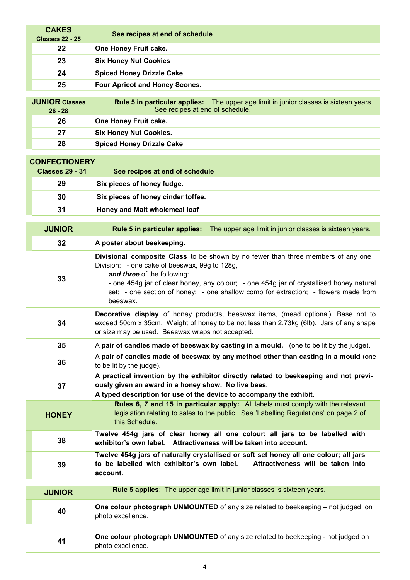| <b>CAKES</b><br><b>Classes 22 - 25</b> | See recipes at end of schedule.                                                                                                                                                                                                                                                                                                                                |
|----------------------------------------|----------------------------------------------------------------------------------------------------------------------------------------------------------------------------------------------------------------------------------------------------------------------------------------------------------------------------------------------------------------|
| 22                                     | One Honey Fruit cake.                                                                                                                                                                                                                                                                                                                                          |
| 23                                     | <b>Six Honey Nut Cookies</b>                                                                                                                                                                                                                                                                                                                                   |
| 24                                     | <b>Spiced Honey Drizzle Cake</b>                                                                                                                                                                                                                                                                                                                               |
| 25                                     | <b>Four Apricot and Honey Scones.</b>                                                                                                                                                                                                                                                                                                                          |
| <b>JUNIOR Classes</b><br>$26 - 28$     | <b>Rule 5 in particular applies:</b> The upper age limit in junior classes is sixteen years.<br>See recipes at end of schedule.                                                                                                                                                                                                                                |
| 26                                     | One Honey Fruit cake.                                                                                                                                                                                                                                                                                                                                          |
| 27                                     | <b>Six Honey Nut Cookies.</b>                                                                                                                                                                                                                                                                                                                                  |
| 28                                     | <b>Spiced Honey Drizzle Cake</b>                                                                                                                                                                                                                                                                                                                               |
| <b>CONFECTIONERY</b>                   |                                                                                                                                                                                                                                                                                                                                                                |
| <b>Classes 29 - 31</b>                 | See recipes at end of schedule                                                                                                                                                                                                                                                                                                                                 |
| 29                                     | Six pieces of honey fudge.                                                                                                                                                                                                                                                                                                                                     |
| 30                                     | Six pieces of honey cinder toffee.                                                                                                                                                                                                                                                                                                                             |
| 31                                     | Honey and Malt wholemeal loaf                                                                                                                                                                                                                                                                                                                                  |
|                                        |                                                                                                                                                                                                                                                                                                                                                                |
| <b>JUNIOR</b>                          | Rule 5 in particular applies:<br>The upper age limit in junior classes is sixteen years.                                                                                                                                                                                                                                                                       |
| 32                                     | A poster about beekeeping.                                                                                                                                                                                                                                                                                                                                     |
| 33                                     | Divisional composite Class to be shown by no fewer than three members of any one<br>Division: - one cake of beeswax, 99g to 128g,<br>and three of the following:<br>- one 454g jar of clear honey, any colour; - one 454g jar of crystallised honey natural<br>set; - one section of honey; - one shallow comb for extraction; - flowers made from<br>beeswax. |
| 34                                     | Decorative display of honey products, beeswax items, (mead optional). Base not to<br>exceed 50cm x 35cm. Weight of honey to be not less than 2.73kg (6lb). Jars of any shape<br>or size may be used. Beeswax wraps not accepted.                                                                                                                               |
| 35                                     | A pair of candles made of beeswax by casting in a mould. (one to be lit by the judge).                                                                                                                                                                                                                                                                         |
| 36                                     | A pair of candles made of beeswax by any method other than casting in a mould (one<br>to be lit by the judge).                                                                                                                                                                                                                                                 |
| 37                                     | A practical invention by the exhibitor directly related to beekeeping and not previ-<br>ously given an award in a honey show. No live bees.<br>A typed description for use of the device to accompany the exhibit.                                                                                                                                             |
| <b>HONEY</b>                           | Rules 6, 7 and 15 in particular apply: All labels must comply with the relevant<br>legislation relating to sales to the public. See 'Labelling Regulations' on page 2 of<br>this Schedule.                                                                                                                                                                     |
| 38                                     | Twelve 454g jars of clear honey all one colour; all jars to be labelled with<br>exhibitor's own label. Attractiveness will be taken into account.                                                                                                                                                                                                              |
| 39                                     | Twelve 454g jars of naturally crystallised or soft set honey all one colour; all jars<br>to be labelled with exhibitor's own label.<br>Attractiveness will be taken into<br>account.                                                                                                                                                                           |
| <b>JUNIOR</b>                          | Rule 5 applies: The upper age limit in junior classes is sixteen years.                                                                                                                                                                                                                                                                                        |
| 40                                     | One colour photograph UNMOUNTED of any size related to beekeeping – not judged on<br>photo excellence.                                                                                                                                                                                                                                                         |
| 41                                     | One colour photograph UNMOUNTED of any size related to beekeeping - not judged on<br>photo excellence.                                                                                                                                                                                                                                                         |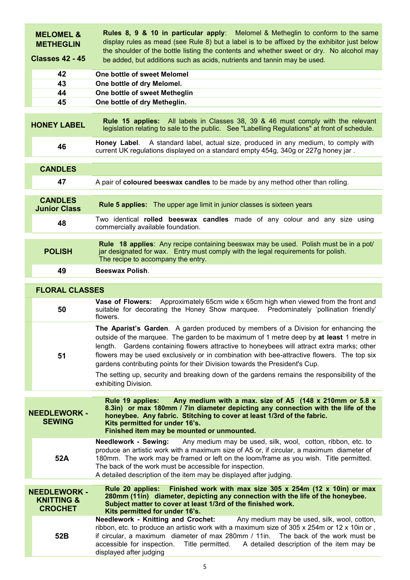| <b>MELOMEL &amp;</b><br><b>METHEGLIN</b><br><b>Classes 42 - 45</b> | <b>Rules 8, 9 &amp; 10 in particular apply:</b> Melomel & Metheglin to conform to the same<br>display rules as mead (see Rule 8) but a label is to be affixed by the exhibitor just below<br>the shoulder of the bottle listing the contents and whether sweet or dry. No alcohol may<br>be added, but additions such as acids, nutrients and tannin may be used.                                                                                                                                                                                                                  |  |  |
|--------------------------------------------------------------------|------------------------------------------------------------------------------------------------------------------------------------------------------------------------------------------------------------------------------------------------------------------------------------------------------------------------------------------------------------------------------------------------------------------------------------------------------------------------------------------------------------------------------------------------------------------------------------|--|--|
| 42                                                                 | One bottle of sweet Melomel                                                                                                                                                                                                                                                                                                                                                                                                                                                                                                                                                        |  |  |
| 43                                                                 | One bottle of dry Melomel.                                                                                                                                                                                                                                                                                                                                                                                                                                                                                                                                                         |  |  |
| 44                                                                 | One bottle of sweet Metheglin                                                                                                                                                                                                                                                                                                                                                                                                                                                                                                                                                      |  |  |
| 45                                                                 | One bottle of dry Metheglin.                                                                                                                                                                                                                                                                                                                                                                                                                                                                                                                                                       |  |  |
| <b>HONEY LABEL</b>                                                 | <b>Rule 15 applies:</b> All labels in Classes 38, 39 & 46 must comply with the relevant<br>legislation relating to sale to the public. See "Labelling Regulations" at front of schedule.                                                                                                                                                                                                                                                                                                                                                                                           |  |  |
| 46                                                                 | A standard label, actual size, produced in any medium, to comply with<br>Honey Label.<br>current UK regulations displayed on a standard empty 454g, 340g or 227g honey jar.                                                                                                                                                                                                                                                                                                                                                                                                        |  |  |
| <b>CANDLES</b>                                                     |                                                                                                                                                                                                                                                                                                                                                                                                                                                                                                                                                                                    |  |  |
| 47                                                                 |                                                                                                                                                                                                                                                                                                                                                                                                                                                                                                                                                                                    |  |  |
|                                                                    | A pair of coloured beeswax candles to be made by any method other than rolling.                                                                                                                                                                                                                                                                                                                                                                                                                                                                                                    |  |  |
| <b>CANDLES</b><br><b>Junior Class</b>                              | <b>Rule 5 applies:</b> The upper age limit in junior classes is sixteen years                                                                                                                                                                                                                                                                                                                                                                                                                                                                                                      |  |  |
| 48                                                                 | Two identical rolled beeswax candles made of any colour and any size using<br>commercially available foundation.                                                                                                                                                                                                                                                                                                                                                                                                                                                                   |  |  |
| <b>POLISH</b>                                                      | Rule 18 applies: Any recipe containing beeswax may be used. Polish must be in a pot/<br>jar designated for wax. Entry must comply with the legal requirements for polish.<br>The recipe to accompany the entry.                                                                                                                                                                                                                                                                                                                                                                    |  |  |
| 49                                                                 | <b>Beeswax Polish.</b>                                                                                                                                                                                                                                                                                                                                                                                                                                                                                                                                                             |  |  |
|                                                                    |                                                                                                                                                                                                                                                                                                                                                                                                                                                                                                                                                                                    |  |  |
| <b>FLORAL CLASSES</b>                                              |                                                                                                                                                                                                                                                                                                                                                                                                                                                                                                                                                                                    |  |  |
| 50                                                                 | Approximately 65cm wide x 65cm high when viewed from the front and<br>Vase of Flowers:<br>suitable for decorating the Honey Show marquee. Predominately 'pollination friendly'<br>flowers.                                                                                                                                                                                                                                                                                                                                                                                         |  |  |
| 51                                                                 | The Aparist's Garden. A garden produced by members of a Division for enhancing the<br>outside of the marquee. The garden to be maximum of 1 metre deep by at least 1 metre in<br>Gardens containing flowers attractive to honeybees will attract extra marks; other<br>lenath.<br>flowers may be used exclusively or in combination with bee-attractive flowers. The top six<br>gardens contributing points for their Division towards the President's Cup.<br>The setting up, security and breaking down of the gardens remains the responsibility of the<br>exhibiting Division. |  |  |
|                                                                    | Any medium with a max. size of A5 (148 x 210mm or 5.8 x<br>Rule 19 applies:                                                                                                                                                                                                                                                                                                                                                                                                                                                                                                        |  |  |
| <b>NEEDLEWORK -</b><br><b>SEWING</b>                               | 8.3in) or max 180mm / 7in diameter depicting any connection with the life of the<br>honeybee. Any fabric. Stitching to cover at least 1/3rd of the fabric.<br>Kits permitted for under 16's.<br>Finished item may be mounted or unmounted.                                                                                                                                                                                                                                                                                                                                         |  |  |
| 52A                                                                | <b>Needlework - Sewing:</b><br>Any medium may be used, silk, wool, cotton, ribbon, etc. to<br>produce an artistic work with a maximum size of A5 or, if circular, a maximum diameter of<br>180mm. The work may be framed or left on the loom/frame as you wish. Title permitted.<br>The back of the work must be accessible for inspection.<br>A detailed description of the item may be displayed after judging.                                                                                                                                                                  |  |  |
| <b>NEEDLEWORK -</b><br><b>KNITTING &amp;</b><br><b>CROCHET</b>     | Finished work with max size 305 x 254m (12 x 10in) or max<br>Rule 20 applies:<br>280mm (11in) diameter, depicting any connection with the life of the honeybee.<br>Subject matter to cover at least 1/3rd of the finished work.<br>Kits permitted for under 16's.                                                                                                                                                                                                                                                                                                                  |  |  |
| 52B                                                                | <b>Needlework - Knitting and Crochet:</b><br>Any medium may be used, silk, wool, cotton,<br>ribbon, etc. to produce an artistic work with a maximum size of 305 x 254m or 12 x 10in or,<br>if circular, a maximum diameter of max 280mm / 11in.<br>The back of the work must be<br>accessible for inspection.<br>Title permitted. A detailed description of the item may be<br>displayed after judging                                                                                                                                                                             |  |  |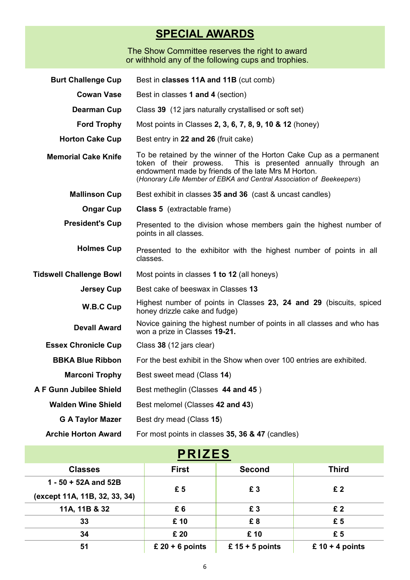# **SPECIAL AWARDS**

The Show Committee reserves the right to award or withhold any of the following cups and trophies.

| <b>Burt Challenge Cup</b>      | Best in classes 11A and 11B (cut comb)                                                                                                                                                                                                                                |
|--------------------------------|-----------------------------------------------------------------------------------------------------------------------------------------------------------------------------------------------------------------------------------------------------------------------|
| <b>Cowan Vase</b>              | Best in classes 1 and 4 (section)                                                                                                                                                                                                                                     |
| <b>Dearman Cup</b>             | Class 39 (12 jars naturally crystallised or soft set)                                                                                                                                                                                                                 |
| <b>Ford Trophy</b>             | Most points in Classes 2, 3, 6, 7, 8, 9, 10 & 12 (honey)                                                                                                                                                                                                              |
| <b>Horton Cake Cup</b>         | Best entry in 22 and 26 (fruit cake)                                                                                                                                                                                                                                  |
| <b>Memorial Cake Knife</b>     | To be retained by the winner of the Horton Cake Cup as a permanent<br>token of their prowess.<br>This is presented annually through an<br>endowment made by friends of the late Mrs M Horton.<br>(Honorary Life Member of EBKA and Central Association of Beekeepers) |
| <b>Mallinson Cup</b>           | Best exhibit in classes 35 and 36 (cast & uncast candles)                                                                                                                                                                                                             |
| <b>Ongar Cup</b>               | <b>Class 5</b> (extractable frame)                                                                                                                                                                                                                                    |
| <b>President's Cup</b>         | Presented to the division whose members gain the highest number of<br>points in all classes.                                                                                                                                                                          |
| <b>Holmes Cup</b>              | Presented to the exhibitor with the highest number of points in all<br>classes.                                                                                                                                                                                       |
| <b>Tidswell Challenge Bowl</b> | Most points in classes 1 to 12 (all honeys)                                                                                                                                                                                                                           |
| <b>Jersey Cup</b>              | Best cake of beeswax in Classes 13                                                                                                                                                                                                                                    |
| W.B.C Cup                      | Highest number of points in Classes 23, 24 and 29 (biscuits, spiced<br>honey drizzle cake and fudge)                                                                                                                                                                  |
| <b>Devall Award</b>            | Novice gaining the highest number of points in all classes and who has<br>won a prize in Classes 19-21.                                                                                                                                                               |
| <b>Essex Chronicle Cup</b>     | Class 38 (12 jars clear)                                                                                                                                                                                                                                              |
| <b>BBKA Blue Ribbon</b>        | For the best exhibit in the Show when over 100 entries are exhibited.                                                                                                                                                                                                 |
| <b>Marconi Trophy</b>          | Best sweet mead (Class 14)                                                                                                                                                                                                                                            |
| A F Gunn Jubilee Shield        | Best metheglin (Classes 44 and 45)                                                                                                                                                                                                                                    |
| <b>Walden Wine Shield</b>      | Best melomel (Classes 42 and 43)                                                                                                                                                                                                                                      |
| <b>G A Taylor Mazer</b>        | Best dry mead (Class 15)                                                                                                                                                                                                                                              |
| <b>Archie Horton Award</b>     | For most points in classes 35, 36 & 47 (candles)                                                                                                                                                                                                                      |

| <b>PRIZES</b>                                         |                   |                   |                   |
|-------------------------------------------------------|-------------------|-------------------|-------------------|
| <b>Classes</b>                                        | <b>First</b>      | <b>Second</b>     | <b>Third</b>      |
| 1 - 50 + 52A and 52B<br>(except 11A, 11B, 32, 33, 34) | £5                | £3                | £2                |
| 11A, 11B & 32                                         | £6                | £3                | £2                |
| 33                                                    | £ 10              | £8                | £5                |
| 34                                                    | £ 20              | £ 10              | £5                |
| 51                                                    | £ $20 + 6$ points | £ $15 + 5$ points | £ $10 + 4$ points |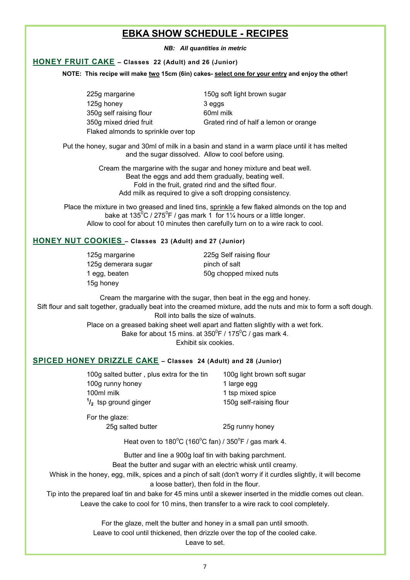## **EBKA SHOW SCHEDULE - RECIPES**

*NB: All quantities in metric*

#### **HONEY FRUIT CAKE – Classes 22 (Adult) and 26 (Junior)**

**NOTE: This recipe will make two 15cm (6in) cakes- select one for your entry and enjoy the other!**

| 225g margarine                      | 150g soft light brown sugar           |
|-------------------------------------|---------------------------------------|
| 125g honey                          | 3 eggs                                |
| 350g self raising flour             | 60ml milk                             |
| 350g mixed dried fruit              | Grated rind of half a lemon or orange |
| Flaked almonds to sprinkle over top |                                       |

Put the honey, sugar and 30ml of milk in a basin and stand in a warm place until it has melted and the sugar dissolved. Allow to cool before using.

> Cream the margarine with the sugar and honey mixture and beat well. Beat the eggs and add them gradually, beating well. Fold in the fruit, grated rind and the sifted flour. Add milk as required to give a soft dropping consistency.

Place the mixture in two greased and lined tins, sprinkle a few flaked almonds on the top and bake at 135 $^{\rm 0}$ C / 275 $^{\rm 0}$ F / gas mark 1  $\,$  for 1¼ hours or a little longer. Allow to cool for about 10 minutes then carefully turn on to a wire rack to cool.

#### **HONEY NUT COOKIES – Classes 23 (Adult) and 27 (Junior)**

125g demerara sugar pinch of salt 15g honey

125g margarine 225g Self raising flour 1 egg, beaten 60g chopped mixed nuts

Cream the margarine with the sugar, then beat in the egg and honey. Sift flour and salt together, gradually beat into the creamed mixture, add the nuts and mix to form a soft dough. Roll into balls the size of walnuts.

> Place on a greased baking sheet well apart and flatten slightly with a wet fork. Bake for about 15 mins. at 350 $^{\rm o}$ F / 175 $^{\rm o}$ C / gas mark 4.

Exhibit six cookies.

#### **SPICED HONEY DRIZZLE CAKE – Classes 24 (Adult) and 28 (Junior)**

| 100g salted butter, plus extra for the tin | 100g light brown soft sugar |
|--------------------------------------------|-----------------------------|
| 100g runny honey                           | 1 large egg                 |
| 100ml milk                                 | 1 tsp mixed spice           |
| $\frac{1}{2}$ tsp ground ginger            | 150g self-raising flour     |

For the glaze:

25g salted butter 25g runny honey

Heat oven to  $180^{\circ}$ C (160 $^{\circ}$ C fan) / 350 $^{\circ}$ F / gas mark 4.

Butter and line a 900g loaf tin with baking parchment.

Beat the butter and sugar with an electric whisk until creamy.

Whisk in the honey, egg, milk, spices and a pinch of salt (don't worry if it curdles slightly, it will become a loose batter), then fold in the flour.

Tip into the prepared loaf tin and bake for 45 mins until a skewer inserted in the middle comes out clean. Leave the cake to cool for 10 mins, then transfer to a wire rack to cool completely.

> For the glaze, melt the butter and honey in a small pan until smooth. Leave to cool until thickened, then drizzle over the top of the cooled cake.

> > Leave to set.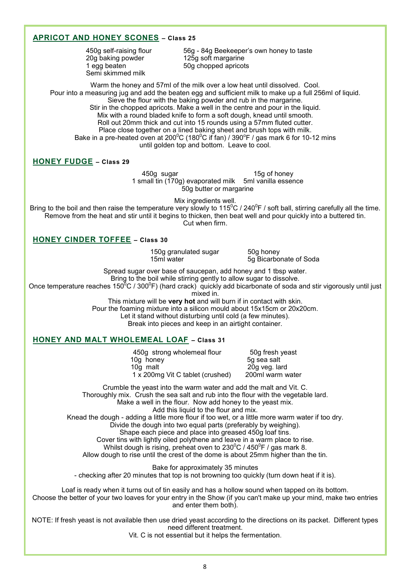#### **APRICOT AND HONEY SCONES – Class 25**

20g baking powder Semi skimmed milk

450g self-raising flour 56g - 84g Beekeeper's own honey to taste<br>20g baking powder 125g soft margarine 1 egg beaten 50g chopped apricots

Warm the honey and 57ml of the milk over a low heat until dissolved. Cool. Pour into a measuring jug and add the beaten egg and sufficient milk to make up a full 256ml of liquid. Sieve the flour with the baking powder and rub in the margarine. Stir in the chopped apricots. Make a well in the centre and pour in the liquid. Mix with a round bladed knife to form a soft dough, knead until smooth. Roll out 20mm thick and cut into 15 rounds using a 57mm fluted cutter. Place close together on a lined baking sheet and brush tops with milk. Bake in a pre-heated oven at 200 $\mathrm{^0C}$  (180 $\mathrm{^0C}$  if fan) / 390 $\mathrm{^0F}$  / gas mark 6 for 10-12 mins until golden top and bottom. Leave to cool.

#### **HONEY FUDGE – Class 29**

450g sugar 15g of honey 1 small tin (170g) evaporated milk 5ml vanilla essence 50g butter or margarine

Mix ingredients well.

Bring to the boil and then raise the temperature very slowly to 115 $^0$ C / 240 $^0$ F / soft ball, stirring carefully all the time. Remove from the heat and stir until it begins to thicken, then beat well and pour quickly into a buttered tin. Cut when firm.

#### **HONEY CINDER TOFFEE – Class 30**

150g granulated sugar 50g honey<br>15ml water 50 Bicarbo

5g Bicarbonate of Soda

Spread sugar over base of saucepan, add honey and 1 tbsp water.

Bring to the boil while stirring gently to allow sugar to dissolve.

Once temperature reaches 150<sup>8</sup>C / 300<sup>0</sup>F) (hard crack) quickly add bicarbonate of soda and stir vigorously until just mixed in.

This mixture will be **very hot** and will burn if in contact with skin.

Pour the foaming mixture into a silicon mould about 15x15cm or 20x20cm.

Let it stand without disturbing until cold (a few minutes).

Break into pieces and keep in an airtight container.

#### **HONEY AND MALT WHOLEMEAL LOAF – Class 31**

450g strong wholemeal flour 50g fresh yeast<br>10g honey 50 sea salt  $10q$  honey 10g malt<br>1 x 200mg Vit C tablet (crushed) 200ml warm water  $1 \times 200$ mg Vit C tablet (crushed)

Crumble the yeast into the warm water and add the malt and Vit. C. Thoroughly mix. Crush the sea salt and rub into the flour with the vegetable lard. Make a well in the flour. Now add honey to the yeast mix.

Add this liquid to the flour and mix.

Knead the dough - adding a little more flour if too wet, or a little more warm water if too dry.

Divide the dough into two equal parts (preferably by weighing).

Shape each piece and place into greased 450g loaf tins.

Cover tins with lightly oiled polythene and leave in a warm place to rise.

Whilst dough is rising, preheat oven to 230 $\mathrm{^0C}$  / 450 $\mathrm{^0F}$  / gas mark 8.

Allow dough to rise until the crest of the dome is about 25mm higher than the tin.

Bake for approximately 35 minutes - checking after 20 minutes that top is not browning too quickly (turn down heat if it is).

Loaf is ready when it turns out of tin easily and has a hollow sound when tapped on its bottom. Choose the better of your two loaves for your entry in the Show (if you can't make up your mind, make two entries and enter them both).

NOTE: If fresh yeast is not available then use dried yeast according to the directions on its packet. Different types need different treatment.

Vit. C is not essential but it helps the fermentation.